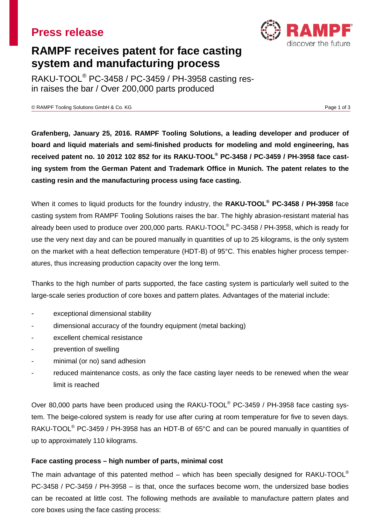## **Press release**



# **RAMPF receives patent for face casting system and manufacturing process**

RAKU-TOOL® PC-3458 / PC-3459 / PH-3958 casting resin raises the bar / Over 200,000 parts produced

© RAMPF Tooling Solutions GmbH & Co. KG Page 1 of 3

**Grafenberg, January 25, 2016. RAMPF Tooling Solutions, a leading developer and producer of board and liquid materials and semi-finished products for modeling and mold engineering, has received patent no. 10 2012 102 852 for its RAKU-TOOL® PC-3458 / PC-3459 / PH-3958 face casting system from the German Patent and Trademark Office in Munich. The patent relates to the casting resin and the manufacturing process using face casting.**

When it comes to liquid products for the foundry industry, the **RAKU-TOOL® PC-3458 / PH-3958** face casting system from RAMPF Tooling Solutions raises the bar. The highly abrasion-resistant material has already been used to produce over 200,000 parts. RAKU-TOOL® PC-3458 / PH-3958, which is ready for use the very next day and can be poured manually in quantities of up to 25 kilograms, is the only system on the market with a heat deflection temperature (HDT-B) of 95°C. This enables higher process temperatures, thus increasing production capacity over the long term.

Thanks to the high number of parts supported, the face casting system is particularly well suited to the large-scale series production of core boxes and pattern plates. Advantages of the material include:

- exceptional dimensional stability
- dimensional accuracy of the foundry equipment (metal backing)
- excellent chemical resistance
- prevention of swelling
- minimal (or no) sand adhesion
- reduced maintenance costs, as only the face casting layer needs to be renewed when the wear limit is reached

Over 80,000 parts have been produced using the RAKU-TOOL® PC-3459 / PH-3958 face casting system. The beige-colored system is ready for use after curing at room temperature for five to seven days. RAKU-TOOL® PC-3459 / PH-3958 has an HDT-B of 65°C and can be poured manually in quantities of up to approximately 110 kilograms.

## **Face casting process – high number of parts, minimal cost**

The main advantage of this patented method – which has been specially designed for RAKU-TOOL® PC-3458 / PC-3459 / PH-3958 – is that, once the surfaces become worn, the undersized base bodies can be recoated at little cost. The following methods are available to manufacture pattern plates and core boxes using the face casting process: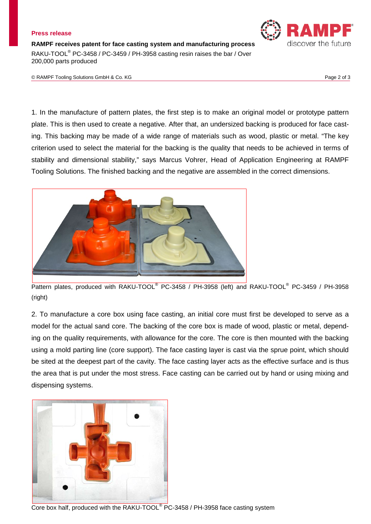### **Press release**

**RAMPF receives patent for face casting system and manufacturing process** RAKU-TOOL® PC-3458 / PC-3459 / PH-3958 casting resin raises the bar / Over 200,000 parts produced



1. In the manufacture of pattern plates, the first step is to make an original model or prototype pattern plate. This is then used to create a negative. After that, an undersized backing is produced for face casting. This backing may be made of a wide range of materials such as wood, plastic or metal. "The key criterion used to select the material for the backing is the quality that needs to be achieved in terms of stability and dimensional stability," says Marcus Vohrer, Head of Application Engineering at RAMPF Tooling Solutions. The finished backing and the negative are assembled in the correct dimensions.



Pattern plates, produced with RAKU-TOOL<sup>®</sup> PC-3458 / PH-3958 (left) and RAKU-TOOL<sup>®</sup> PC-3459 / PH-3958 (right)

2. To manufacture a core box using face casting, an initial core must first be developed to serve as a model for the actual sand core. The backing of the core box is made of wood, plastic or metal, depending on the quality requirements, with allowance for the core. The core is then mounted with the backing using a mold parting line (core support). The face casting layer is cast via the sprue point, which should be sited at the deepest part of the cavity. The face casting layer acts as the effective surface and is thus the area that is put under the most stress. Face casting can be carried out by hand or using mixing and dispensing systems.



Core box half, produced with the RAKU-TOOL® PC-3458 / PH-3958 face casting system